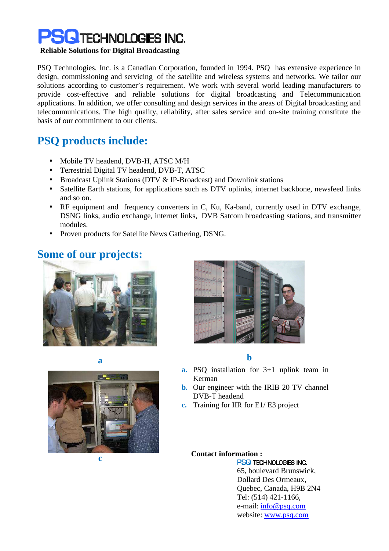

#### **Reliable Solutions for Digital Broadcasting**

PSQ Technologies, Inc. is a Canadian Corporation, founded in 1994. PSQ has extensive experience in design, commissioning and servicing of the satellite and wireless systems and networks. We tailor our solutions according to customer's requirement. We work with several world leading manufacturers to provide cost-effective and reliable solutions for digital broadcasting and Telecommunication applications. In addition, we offer consulting and design services in the areas of Digital broadcasting and telecommunications. The high quality, reliability, after sales service and on-site training constitute the basis of our commitment to our clients.

## **PSQ products include:**

- Mobile TV headend, DVB-H, ATSC M/H
- Terrestrial Digital TV headend, DVB-T, ATSC
- Broadcast Uplink Stations (DTV & IP-Broadcast) and Downlink stations
- Satellite Earth stations, for applications such as DTV uplinks, internet backbone, newsfeed links and so on.
- RF equipment and frequency converters in C, Ku, Ka-band, currently used in DTV exchange, DSNG links, audio exchange, internet links, DVB Satcom broadcasting stations, and transmitter modules.
- Proven products for Satellite News Gathering, DSNG.

## **Some of our projects:**









**a b** 

- **a.** PSQ installation for 3+1 uplink team in Kerman
- **b.** Our engineer with the IRIB 20 TV channel DVB-T headend
- **c.** Training for IIR for E1/ E3 project

#### **Contact information :**

PSQ TECHNOLOGIES INC. 65, boulevard Brunswick, Dollard Des Ormeaux, Quebec, Canada, H9B 2N4 Tel: (514) 421-1166, e-mail: info@psq.com website: www.psq.com